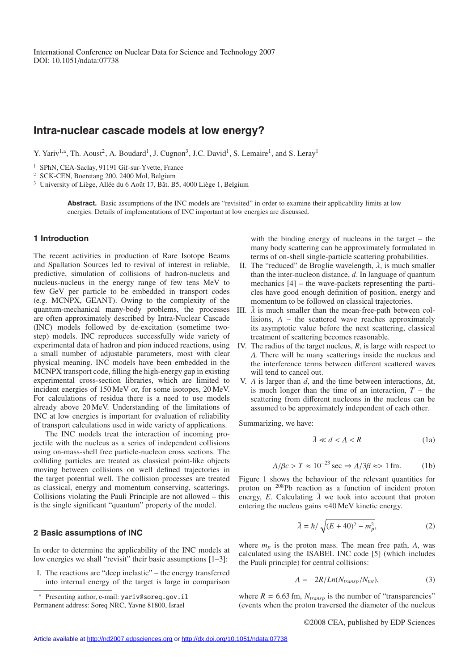# **Intra-nuclear cascade models at low energy?**

Y. Yariv<sup>1,a</sup>, Th. Aoust<sup>2</sup>, A. Boudard<sup>1</sup>, J. Cugnon<sup>3</sup>, J.C. David<sup>1</sup>, S. Lemaire<sup>1</sup>, and S. Leray<sup>1</sup>

<sup>1</sup> SPhN, CEA-Saclay, 91191 Gif-sur-Yvette, France

<sup>2</sup> SCK-CEN, Boeretang 200, 2400 Mol, Belgium

 $3$  University of Liège, Allée du 6 Août 17, Bât. B5, 4000 Liège 1, Belgium

**Abstract.** Basic assumptions of the INC models are "revisited" in order to examine their applicability limits at low energies. Details of implementations of INC important at low energies are discussed.

## **1 Introduction**

The recent activities in production of Rare Isotope Beams and Spallation Sources led to revival of interest in reliable, predictive, simulation of collisions of hadron-nucleus and nucleus-nucleus in the energy range of few tens MeV to few GeV per particle to be embedded in transport codes (e.g. MCNPX, GEANT). Owing to the complexity of the quantum-mechanical many-body problems, the processes are often approximately described by Intra-Nuclear Cascade (INC) models followed by de-excitation (sometime twostep) models. INC reproduces successfully wide variety of experimental data of hadron and pion induced reactions, using a small number of adjustable parameters, most with clear physical meaning. INC models have been embedded in the MCNPX transport code, filling the high-energy gap in existing experimental cross-section libraries, which are limited to incident energies of 150 MeV or, for some isotopes, 20 MeV. For calculations of residua there is a need to use models already above 20 MeV. Understanding of the limitations of INC at low energies is important for evaluation of reliability of transport calculations used in wide variety of applications.

The INC models treat the interaction of incoming projectile with the nucleus as a series of independent collisions using on-mass-shell free particle-nucleon cross sections. The colliding particles are treated as classical point-like objects moving between collisions on well defined trajectories in the target potential well. The collision processes are treated as classical, energy and momentum conserving, scatterings. Collisions violating the Pauli Principle are not allowed – this is the single significant "quantum" property of the model.

#### **2 Basic assumptions of INC**

In order to determine the applicability of the INC models at low energies we shall "revisit" their basic assumptions [1–3]:

I. The reactions are "deep inelastic" – the energy transferred into internal energy of the target is large in comparison with the binding energy of nucleons in the target – the many body scattering can be approximately formulated in terms of on-shell single-particle scattering probabilities.

- II. The "reduced" de Broglie wavelength,  $\bar{\lambda}$ , is much smaller than the inter-nucleon distance, *d*. In language of quantum mechanics [4] – the wave-packets representing the particles have good enough definition of position, energy and momentum to be followed on classical trajectories.
- III.  $\bar{\lambda}$  is much smaller than the mean-free-path between collisions,  $\Lambda$  – the scattered wave reaches approximately its asymptotic value before the next scattering, classical treatment of scattering becomes reasonable.
- IV. The radius of the target nucleus, *R*, is large with respect to Λ. There will be many scatterings inside the nucleus and the interference terms between different scattered waves will tend to cancel out.
- V.  $\Lambda$  is larger than  $d$ , and the time between interactions,  $\Delta t$ , is much longer than the time of an interaction,  $T -$  the scattering from different nucleons in the nucleus can be assumed to be approximately independent of each other.

Summarizing, we have:

$$
\bar{\lambda} \ll d < \Lambda < R \tag{1a}
$$

$$
\Lambda/\beta c > T \approx 10^{-23} \sec \Rightarrow \Lambda/3\beta \approx 1 \text{ fm.}
$$
 (1b)

Figure 1 shows the behaviour of the relevant quantities for proton on 208Pb reaction as a function of incident proton energy, *E*. Calculating  $\overline{\lambda}$  we took into account that proton entering the nucleus gains  $\approx$ 40 MeV kinetic energy.

$$
\bar{\lambda} = \hbar / \sqrt{(E + 40)^2 - m_p^2},\tag{2}
$$

where  $m_p$  is the proton mass. The mean free path,  $\Lambda$ , was calculated using the ISABEL INC code [5] (which includes the Pauli principle) for central collisions:

$$
\Lambda = -2R/Ln(N_{transp}/N_{tot}),\tag{3}
$$

where  $R = 6.63$  fm,  $N_{transp}$  is the number of "transparencies" (events when the proton traversed the diameter of the nucleus

*<sup>a</sup>* Presenting author, e-mail: yariv@soreq.gov.il

Permanent address: Soreq NRC, Yavne 81800, Israel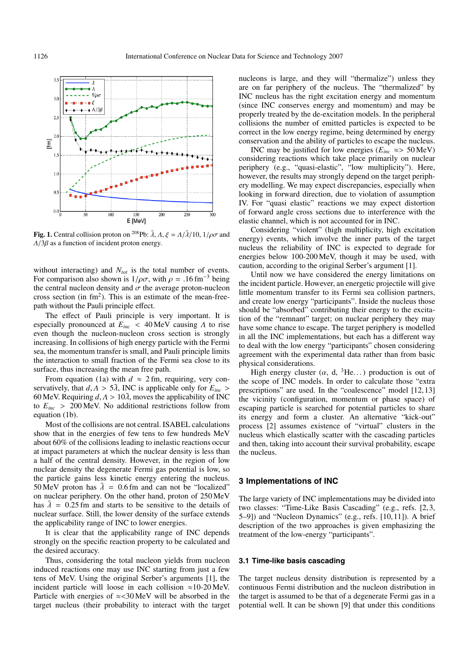

**Fig. 1.** Central collision proton on <sup>208</sup>Pb:  $\bar{\lambda}$ ,  $\Lambda$ ,  $\xi = \Lambda/\bar{\lambda}/10$ ,  $1/\rho\sigma$  and  $\Lambda/3\beta$  as a function of incident proton energy.

without interacting) and  $N_{tot}$  is the total number of events. For comparison also shown is  $1/\rho\sigma$ , with  $\rho = .16$  fm<sup>-3</sup> being the central nucleon density and  $\sigma$  the average proton-nucleon cross section (in  $\text{fm}^2$ ). This is an estimate of the mean-freepath without the Pauli principle effect.

The effect of Pauli principle is very important. It is especially pronounced at *Einc* < 40 MeV causing Λ to rise even though the nucleon-nucleon cross section is strongly increasing. In collisions of high energy particle with the Fermi sea, the momentum transfer is small, and Pauli principle limits the interaction to small fraction of the Fermi sea close to its surface, thus increasing the mean free path.

From equation (1a) with  $d \approx 2$  fm, requiring, very conservatively, that  $d, \Lambda > 5\overline{\lambda}$ , INC is applicable only for  $E_{inc} >$ 60 MeV. Requiring  $d, \Lambda > 10\overline{\lambda}$ , moves the applicability of INC to  $E_{inc} > 200 \,\text{MeV}$ . No additional restrictions follow from equation (1b).

Most of the collisions are not central. ISABEL calculations show that in the energies of few tens to few hundreds MeV about 60% of the collisions leading to inelastic reactions occur at impact parameters at which the nuclear density is less than a half of the central density. However, in the region of low nuclear density the degenerate Fermi gas potential is low, so the particle gains less kinetic energy entering the nucleus. 50 MeV proton has  $\bar{\lambda} = 0.6$  fm and can not be "localized" on nuclear periphery. On the other hand, proton of 250 MeV has  $\overline{\lambda} = 0.25$  fm and starts to be sensitive to the details of nuclear surface. Still, the lower density of the surface extends the applicability range of INC to lower energies.

It is clear that the applicability range of INC depends strongly on the specific reaction property to be calculated and the desired accuracy.

Thus, considering the total nucleon yields from nucleon induced reactions one may use INC starting from just a few tens of MeV. Using the original Serber's arguments [1], the incident particle will loose in each collision ≈10-20 MeV. Particle with energies of  $\approx$ <30 MeV will be absorbed in the target nucleus (their probability to interact with the target nucleons is large, and they will "thermalize") unless they are on far periphery of the nucleus. The "thermalized" by INC nucleus has the right excitation energy and momentum (since INC conserves energy and momentum) and may be properly treated by the de-excitation models. In the peripheral collisions the number of emitted particles is expected to be correct in the low energy regime, being determined by energy conservation and the ability of particles to escape the nucleus.

INC may be justified for low energies ( $E_{inc} \approx$  50 MeV) considering reactions which take place primarily on nuclear periphery (e.g., "quasi-elastic", "low multiplicity"). Here, however, the results may strongly depend on the target periphery modelling. We may expect discrepancies, especially when looking in forward direction, due to violation of assumption IV. For "quasi elastic" reactions we may expect distortion of forward angle cross sections due to interference with the elastic channel, which is not accounted for in INC.

Considering "violent" (high multiplicity, high excitation energy) events, which involve the inner parts of the target nucleus the reliability of INC is expected to degrade for energies below 100-200 MeV, though it may be used, with caution, according to the original Serber's argument [1].

Until now we have considered the energy limitations on the incident particle. However, an energetic projectile will give little momentum transfer to its Fermi sea collision partners, and create low energy "participants". Inside the nucleus those should be "absorbed" contributing their energy to the excitation of the "remnant" target; on nuclear periphery they may have some chance to escape. The target periphery is modelled in all the INC implementations, but each has a different way to deal with the low energy "participants" chosen considering agreement with the experimental data rather than from basic physical considerations.

High energy cluster  $(\alpha, d, \beta He...)$  production is out of the scope of INC models. In order to calculate those "extra prescriptions" are used. In the "coalescence" model [12, 13] the vicinity (configuration, momentum or phase space) of escaping particle is searched for potential particles to share its energy and form a cluster. An alternative "kick-out" process [2] assumes existence of "virtual" clusters in the nucleus which elastically scatter with the cascading particles and then, taking into account their survival probability, escape the nucleus.

### **3 Implementations of INC**

The large variety of INC implementations may be divided into two classes: "Time-Like Basis Cascading" (e.g., refs. [2, 3, 5–9]) and "Nucleon Dynamics" (e.g., refs. [10, 11]). A brief description of the two approaches is given emphasizing the treatment of the low-energy "participants".

## **3.1 Time-like basis cascading**

The target nucleus density distribution is represented by a continuous Fermi distribution and the nucleon distribution in the target is assumed to be that of a degenerate Fermi gas in a potential well. It can be shown [9] that under this conditions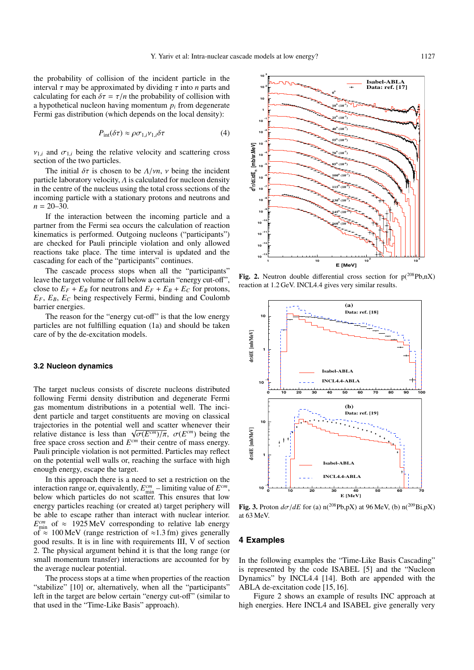the probability of collision of the incident particle in the interval  $\tau$  may be approximated by dividing  $\tau$  into *n* parts and calculating for each  $\delta \tau = \tau/n$  the probability of collision with a hypothetical nucleon having momentum  $p_i$  from degenerate Fermi gas distribution (which depends on the local density):

$$
P_{\rm int}(\delta \tau) \approx \rho \sigma_{1,i} \nu_{1,i} \delta \tau \tag{4}
$$

 $v_{1,i}$  and  $\sigma_{1,i}$  being the relative velocity and scattering cross section of the two particles.

The initial  $\delta\tau$  is chosen to be  $\Lambda/\nu n$ ,  $\nu$  being the incident particle laboratory velocity,  $\Lambda$  is calculated for nucleon density in the centre of the nucleus using the total cross sections of the incoming particle with a stationary protons and neutrons and  $n = 20-30$ .

If the interaction between the incoming particle and a partner from the Fermi sea occurs the calculation of reaction kinematics is performed. Outgoing nucleons ("participants") are checked for Pauli principle violation and only allowed reactions take place. The time interval is updated and the cascading for each of the "participants" continues.

The cascade process stops when all the "participants" leave the target volume or fall below a certain "energy cut-off", close to  $E_F + E_B$  for neutrons and  $E_F + E_B + E_C$  for protons,  $E_F$ ,  $E_B$ ,  $E_C$  being respectively Fermi, binding and Coulomb barrier energies.

The reason for the "energy cut-off" is that the low energy particles are not fulfilling equation (1a) and should be taken care of by the de-excitation models.

### **3.2 Nucleon dynamics**

The target nucleus consists of discrete nucleons distributed following Fermi density distribution and degenerate Fermi gas momentum distributions in a potential well. The incident particle and target constituents are moving on classical trajectories in the potential well and scatter whenever their relative distance is less than  $\sqrt{\sigma(E^{cm})/\pi}$ ,  $\sigma(E^{cm})$  being the free space cross section and *Ecm* their centre of mass energy. Pauli principle violation is not permitted. Particles may reflect on the potential well walls or, reaching the surface with high enough energy, escape the target.

In this approach there is a need to set a restriction on the interaction range or, equivalently,  $E_{\text{min}}^{cm}$  – limiting value of  $E^{cm}$ , below which particles do not scatter. This ensures that low energy particles reaching (or created at) target periphery will be able to escape rather than interact with nuclear interior.  $E_{\text{min}}^{cm}$  of  $\approx$  1925 MeV corresponding to relative lab energy of  $\approx$  100 MeV (range restriction of  $\approx$ 1.3 fm) gives generally good results. It is in line with requirements III, V of section 2. The physical argument behind it is that the long range (or small momentum transfer) interactions are accounted for by the average nuclear potential.

The process stops at a time when properties of the reaction "stabilize" [10] or, alternatively, when all the "participants" left in the target are below certain "energy cut-off" (similar to that used in the "Time-Like Basis" approach).



**Fig. 2.** Neutron double differential cross section for  $p(^{208}Pb, nX)$ reaction at 1.2 GeV. INCL4.4 gives very similar results.



**Fig. 3.** Proton  $d\sigma/dE$  for (a) n(<sup>208</sup>Pb,pX) at 96 MeV, (b) n(<sup>209</sup>Bi,pX) at 63 MeV.

#### **4 Examples**

In the following examples the "Time-Like Basis Cascading" is represented by the code ISABEL [5] and the "Nucleon Dynamics" by INCL4.4 [14]. Both are appended with the ABLA de-excitation code [15, 16].

Figure 2 shows an example of results INC approach at high energies. Here INCL4 and ISABEL give generally very